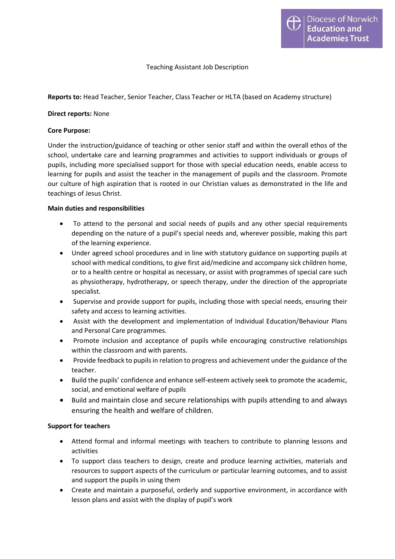## Teaching Assistant Job Description

## Reports to: Head Teacher, Senior Teacher, Class Teacher or HLTA (based on Academy structure)

### Direct reports: None

### Core Purpose:

Under the instruction/guidance of teaching or other senior staff and within the overall ethos of the school, undertake care and learning programmes and activities to support individuals or groups of pupils, including more specialised support for those with special education needs, enable access to learning for pupils and assist the teacher in the management of pupils and the classroom. Promote our culture of high aspiration that is rooted in our Christian values as demonstrated in the life and teachings of Jesus Christ.

## Main duties and responsibilities

- To attend to the personal and social needs of pupils and any other special requirements depending on the nature of a pupil's special needs and, wherever possible, making this part of the learning experience.
- Under agreed school procedures and in line with statutory guidance on supporting pupils at school with medical conditions, to give first aid/medicine and accompany sick children home, or to a health centre or hospital as necessary, or assist with programmes of special care such as physiotherapy, hydrotherapy, or speech therapy, under the direction of the appropriate specialist.
- Supervise and provide support for pupils, including those with special needs, ensuring their safety and access to learning activities.
- Assist with the development and implementation of Individual Education/Behaviour Plans and Personal Care programmes.
- Promote inclusion and acceptance of pupils while encouraging constructive relationships within the classroom and with parents.
- Provide feedback to pupils in relation to progress and achievement under the guidance of the teacher.
- Build the pupils' confidence and enhance self-esteem actively seek to promote the academic, social, and emotional welfare of pupils
- Build and maintain close and secure relationships with pupils attending to and always ensuring the health and welfare of children.

#### Support for teachers

- Attend formal and informal meetings with teachers to contribute to planning lessons and activities
- To support class teachers to design, create and produce learning activities, materials and resources to support aspects of the curriculum or particular learning outcomes, and to assist and support the pupils in using them
- Create and maintain a purposeful, orderly and supportive environment, in accordance with lesson plans and assist with the display of pupil's work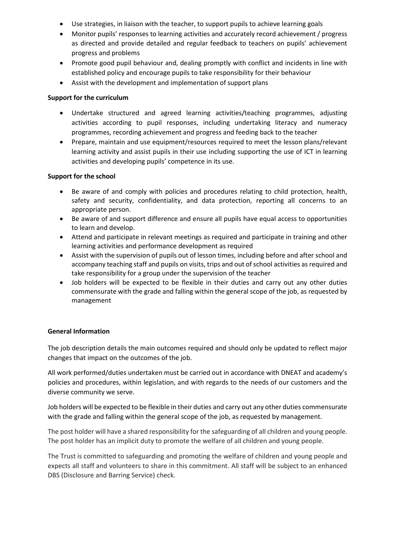- Use strategies, in liaison with the teacher, to support pupils to achieve learning goals
- Monitor pupils' responses to learning activities and accurately record achievement / progress as directed and provide detailed and regular feedback to teachers on pupils' achievement progress and problems
- Promote good pupil behaviour and, dealing promptly with conflict and incidents in line with established policy and encourage pupils to take responsibility for their behaviour
- Assist with the development and implementation of support plans

# Support for the curriculum

- Undertake structured and agreed learning activities/teaching programmes, adjusting activities according to pupil responses, including undertaking literacy and numeracy programmes, recording achievement and progress and feeding back to the teacher
- Prepare, maintain and use equipment/resources required to meet the lesson plans/relevant learning activity and assist pupils in their use including supporting the use of ICT in learning activities and developing pupils' competence in its use.

# Support for the school

- Be aware of and comply with policies and procedures relating to child protection, health, safety and security, confidentiality, and data protection, reporting all concerns to an appropriate person.
- Be aware of and support difference and ensure all pupils have equal access to opportunities to learn and develop.
- Attend and participate in relevant meetings as required and participate in training and other learning activities and performance development as required
- Assist with the supervision of pupils out of lesson times, including before and after school and accompany teaching staff and pupils on visits, trips and out of school activities as required and take responsibility for a group under the supervision of the teacher
- Job holders will be expected to be flexible in their duties and carry out any other duties commensurate with the grade and falling within the general scope of the job, as requested by management

# General Information

The job description details the main outcomes required and should only be updated to reflect major changes that impact on the outcomes of the job.

All work performed/duties undertaken must be carried out in accordance with DNEAT and academy's policies and procedures, within legislation, and with regards to the needs of our customers and the diverse community we serve.

Job holders will be expected to be flexible in their duties and carry out any other duties commensurate with the grade and falling within the general scope of the job, as requested by management.

The post holder will have a shared responsibility for the safeguarding of all children and young people. The post holder has an implicit duty to promote the welfare of all children and young people.

The Trust is committed to safeguarding and promoting the welfare of children and young people and expects all staff and volunteers to share in this commitment. All staff will be subject to an enhanced DBS (Disclosure and Barring Service) check.